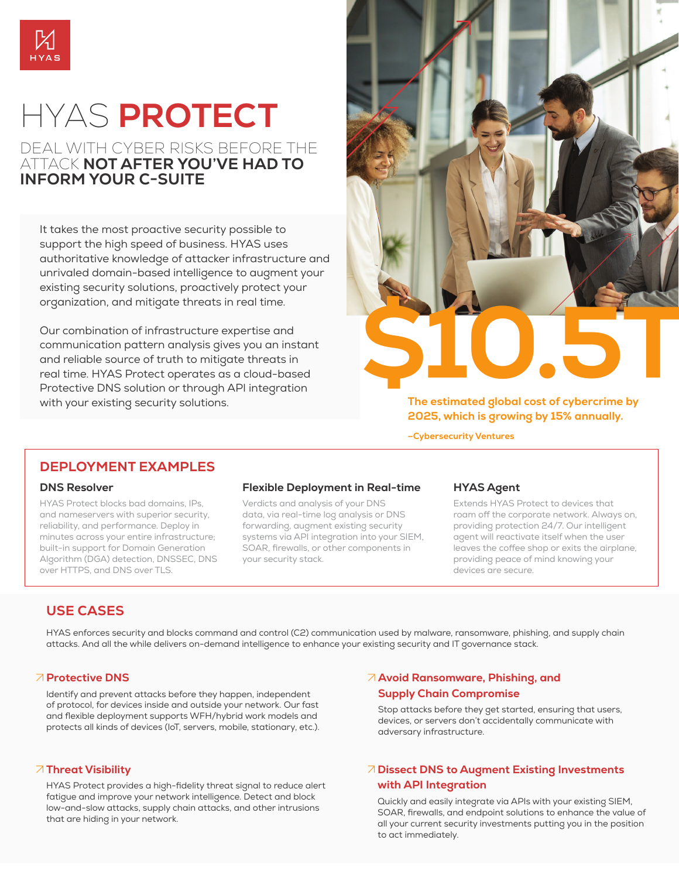

# HYAS **PROTECT**

# DEAL WITH CYBER RISKS BEFORE THE ATTACK **NOT AFTER YOU'VE HAD TO INFORM YOUR C-SUITE**

It takes the most proactive security possible to support the high speed of business. HYAS uses authoritative knowledge of attacker infrastructure and unrivaled domain-based intelligence to augment your existing security solutions, proactively protect your organization, and mitigate threats in real time.

Our combination of infrastructure expertise and communication pattern analysis gives you an instant and reliable source of truth to mitigate threats in real time. HYAS Protect operates as a cloud-based Protective DNS solution or through API integration with your existing security solutions.



**The estimated global cost of cybercrime by 2025, which is growing by 15% annually.**

**–Cybersecurity Ventures**

## **DEPLOYMENT EXAMPLES**

#### **DNS Resolver**

HYAS Protect blocks bad domains, IPs, and nameservers with superior security, reliability, and performance. Deploy in minutes across your entire infrastructure; built-in support for Domain Generation Algorithm (DGA) detection, DNSSEC, DNS over HTTPS, and DNS over TLS.

### **Flexible Deployment in Real-time**

Verdicts and analysis of your DNS data, via real-time log analysis or DNS forwarding, augment existing security systems via API integration into your SIEM, SOAR, firewalls, or other components in your security stack.

### **HYAS Agent**

Extends HYAS Protect to devices that roam off the corporate network. Always on, providing protection 24/7. Our intelligent agent will reactivate itself when the user leaves the coffee shop or exits the airplane, providing peace of mind knowing your devices are secure.

# **USE CASES**

HYAS enforces security and blocks command and control (C2) communication used by malware, ransomware, phishing, and supply chain attacks. And all the while delivers on-demand intelligence to enhance your existing security and IT governance stack.

### **Protective DNS**

Identify and prevent attacks before they happen, independent of protocol, for devices inside and outside your network. Our fast and flexible deployment supports WFH/hybrid work models and protects all kinds of devices (IoT, servers, mobile, stationary, etc.).

### **Threat Visibility**

HYAS Protect provides a high-fidelity threat signal to reduce alert fatigue and improve your network intelligence. Detect and block low-and-slow attacks, supply chain attacks, and other intrusions that are hiding in your network.

### **Avoid Ransomware, Phishing, and Supply Chain Compromise**

Stop attacks before they get started, ensuring that users, devices, or servers don't accidentally communicate with adversary infrastructure.

## **Dissect DNS to Augment Existing Investments with API Integration**

Quickly and easily integrate via APIs with your existing SIEM, SOAR, firewalls, and endpoint solutions to enhance the value of all your current security investments putting you in the position to act immediately.